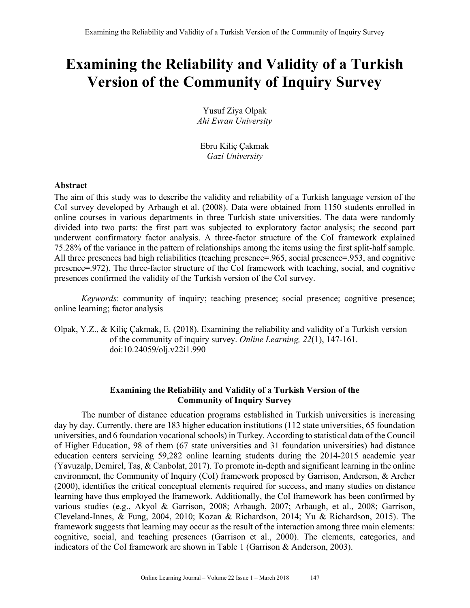# **Examining the Reliability and Validity of a Turkish Version of the Community of Inquiry Survey**

Yusuf Ziya Olpak *Ahi Evran University*

Ebru Kiliç Çakmak *Gazi University*

# **Abstract**

The aim of this study was to describe the validity and reliability of a Turkish language version of the CoI survey developed by Arbaugh et al. (2008). Data were obtained from 1150 students enrolled in online courses in various departments in three Turkish state universities. The data were randomly divided into two parts: the first part was subjected to exploratory factor analysis; the second part underwent confirmatory factor analysis. A three-factor structure of the CoI framework explained 75.28% of the variance in the pattern of relationships among the items using the first split-half sample. All three presences had high reliabilities (teaching presence=.965, social presence=.953, and cognitive presence=.972). The three-factor structure of the CoI framework with teaching, social, and cognitive presences confirmed the validity of the Turkish version of the CoI survey.

*Keywords*: community of inquiry; teaching presence; social presence; cognitive presence; online learning; factor analysis

Olpak, Y.Z., & Kiliç Çakmak, E. (2018). Examining the reliability and validity of a Turkish version of the community of inquiry survey. *Online Learning, 22*(1), 147-161. doi:10.24059/olj.v22i1.990

# **Examining the Reliability and Validity of a Turkish Version of the Community of Inquiry Survey**

The number of distance education programs established in Turkish universities is increasing day by day. Currently, there are 183 higher education institutions (112 state universities, 65 foundation universities, and 6 foundation vocational schools) in Turkey. According to statistical data of the Council of Higher Education, 98 of them (67 state universities and 31 foundation universities) had distance education centers servicing 59,282 online learning students during the 2014-2015 academic year (Yavuzalp, Demirel, Taş, & Canbolat, 2017). To promote in-depth and significant learning in the online environment, the Community of Inquiry (CoI) framework proposed by Garrison, Anderson, & Archer (2000), identifies the critical conceptual elements required for success, and many studies on distance learning have thus employed the framework. Additionally, the CoI framework has been confirmed by various studies (e.g., Akyol & Garrison, 2008; Arbaugh, 2007; Arbaugh, et al., 2008; Garrison, Cleveland-Innes, & Fung, 2004, 2010; Kozan & Richardson, 2014; Yu & Richardson, 2015). The framework suggests that learning may occur as the result of the interaction among three main elements: cognitive, social, and teaching presences (Garrison et al., 2000). The elements, categories, and indicators of the CoI framework are shown in Table 1 (Garrison & Anderson, 2003).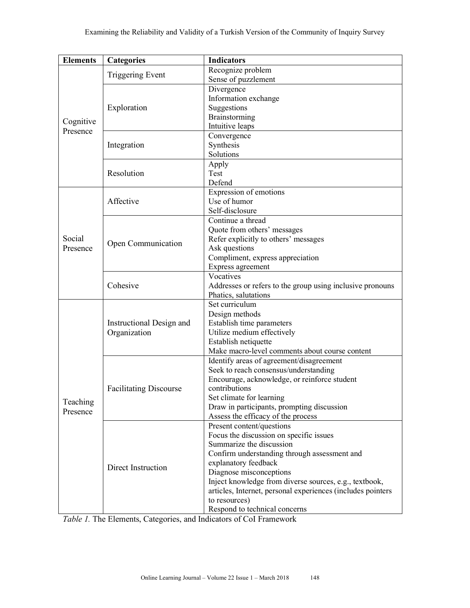| <b>Elements</b>       | <b>Categories</b>             | <b>Indicators</b>                                                    |  |  |
|-----------------------|-------------------------------|----------------------------------------------------------------------|--|--|
|                       | <b>Triggering Event</b>       | Recognize problem                                                    |  |  |
|                       |                               | Sense of puzzlement                                                  |  |  |
|                       |                               | Divergence                                                           |  |  |
|                       |                               | Information exchange                                                 |  |  |
| Cognitive<br>Presence | Exploration                   | Suggestions                                                          |  |  |
|                       |                               | Brainstorming                                                        |  |  |
|                       |                               | Intuitive leaps                                                      |  |  |
|                       | Integration                   | Convergence                                                          |  |  |
|                       |                               | Synthesis                                                            |  |  |
|                       |                               | Solutions                                                            |  |  |
|                       | Resolution                    | Apply                                                                |  |  |
|                       |                               | Test                                                                 |  |  |
|                       |                               | Defend                                                               |  |  |
|                       | Affective                     | Expression of emotions                                               |  |  |
|                       |                               | Use of humor                                                         |  |  |
|                       |                               | Self-disclosure                                                      |  |  |
|                       |                               | Continue a thread                                                    |  |  |
|                       |                               | Quote from others' messages                                          |  |  |
| Social                |                               | Refer explicitly to others' messages                                 |  |  |
| Presence              | Open Communication            | Ask questions                                                        |  |  |
|                       |                               | Compliment, express appreciation                                     |  |  |
|                       |                               | Express agreement                                                    |  |  |
|                       | Cohesive                      | Vocatives                                                            |  |  |
|                       |                               | Addresses or refers to the group using inclusive pronouns            |  |  |
|                       |                               | Phatics, salutations                                                 |  |  |
|                       |                               | Set curriculum                                                       |  |  |
|                       |                               | Design methods                                                       |  |  |
|                       | Instructional Design and      | Establish time parameters                                            |  |  |
|                       | Organization                  | Utilize medium effectively                                           |  |  |
|                       |                               | Establish netiquette                                                 |  |  |
|                       |                               | Make macro-level comments about course content                       |  |  |
|                       |                               | Identify areas of agreement/disagreement                             |  |  |
|                       | <b>Facilitating Discourse</b> | Seek to reach consensus/understanding                                |  |  |
|                       |                               | Encourage, acknowledge, or reinforce student                         |  |  |
|                       |                               | contributions                                                        |  |  |
|                       |                               | Set climate for learning                                             |  |  |
| Teaching              |                               | Draw in participants, prompting discussion                           |  |  |
| Presence              |                               | Assess the efficacy of the process                                   |  |  |
|                       |                               |                                                                      |  |  |
|                       | Direct Instruction            | Present content/questions<br>Focus the discussion on specific issues |  |  |
|                       |                               | Summarize the discussion                                             |  |  |
|                       |                               | Confirm understanding through assessment and                         |  |  |
|                       |                               |                                                                      |  |  |
|                       |                               | explanatory feedback                                                 |  |  |
|                       |                               | Diagnose misconceptions                                              |  |  |
|                       |                               | Inject knowledge from diverse sources, e.g., textbook,               |  |  |
|                       |                               | articles, Internet, personal experiences (includes pointers          |  |  |
|                       |                               | to resources)                                                        |  |  |
|                       |                               | Respond to technical concerns                                        |  |  |

 *Table 1.* The Elements, Categories, and Indicators of CoI Framework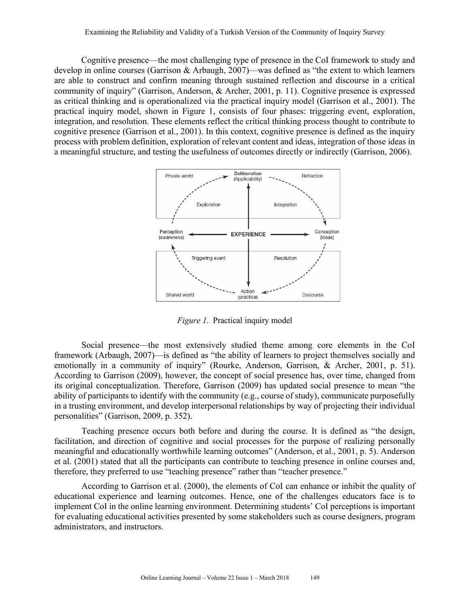Cognitive presence—the most challenging type of presence in the CoI framework to study and develop in online courses (Garrison & Arbaugh, 2007)—was defined as "the extent to which learners are able to construct and confirm meaning through sustained reflection and discourse in a critical community of inquiry" (Garrison, Anderson, & Archer, 2001, p. 11). Cognitive presence is expressed as critical thinking and is operationalized via the practical inquiry model (Garrison et al., 2001). The practical inquiry model, shown in Figure 1, consists of four phases: triggering event, exploration, integration, and resolution. These elements reflect the critical thinking process thought to contribute to cognitive presence (Garrison et al., 2001). In this context, cognitive presence is defined as the inquiry process with problem definition, exploration of relevant content and ideas, integration of those ideas in a meaningful structure, and testing the usefulness of outcomes directly or indirectly (Garrison, 2006).



*Figure 1.* Practical inquiry model

Social presence—the most extensively studied theme among core elements in the CoI framework (Arbaugh, 2007)—is defined as "the ability of learners to project themselves socially and emotionally in a community of inquiry" (Rourke, Anderson, Garrison, & Archer, 2001, p. 51). According to Garrison (2009), however, the concept of social presence has, over time, changed from its original conceptualization. Therefore, Garrison (2009) has updated social presence to mean "the ability of participants to identify with the community (e.g., course of study), communicate purposefully in a trusting environment, and develop interpersonal relationships by way of projecting their individual personalities" (Garrison, 2009, p. 352).

Teaching presence occurs both before and during the course. It is defined as "the design, facilitation, and direction of cognitive and social processes for the purpose of realizing personally meaningful and educationally worthwhile learning outcomes" (Anderson, et al., 2001, p. 5). Anderson et al. (2001) stated that all the participants can contribute to teaching presence in online courses and, therefore, they preferred to use "teaching presence" rather than "teacher presence."

According to Garrison et al. (2000), the elements of CoI can enhance or inhibit the quality of educational experience and learning outcomes. Hence, one of the challenges educators face is to implement CoI in the online learning environment. Determining students' CoI perceptions is important for evaluating educational activities presented by some stakeholders such as course designers, program administrators, and instructors.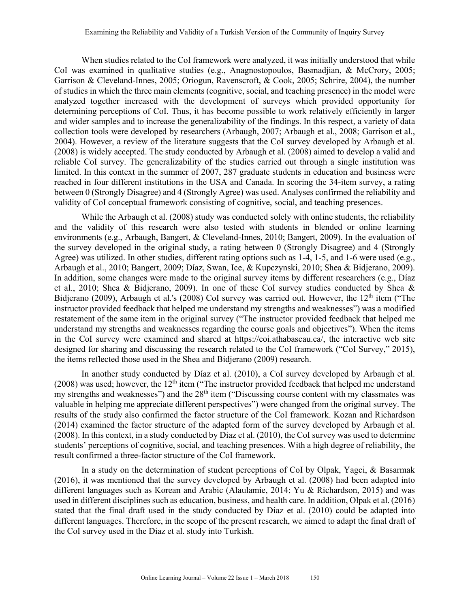When studies related to the CoI framework were analyzed, it was initially understood that while CoI was examined in qualitative studies (e.g., Anagnostopoulos, Basmadjian, & McCrory, 2005; Garrison & Cleveland-Innes, 2005; Oriogun, Ravenscroft, & Cook, 2005; Schrire, 2004), the number of studies in which the three main elements (cognitive, social, and teaching presence) in the model were analyzed together increased with the development of surveys which provided opportunity for determining perceptions of CoI. Thus, it has become possible to work relatively efficiently in larger and wider samples and to increase the generalizability of the findings. In this respect, a variety of data collection tools were developed by researchers (Arbaugh, 2007; Arbaugh et al., 2008; Garrison et al., 2004). However, a review of the literature suggests that the CoI survey developed by Arbaugh et al. (2008) is widely accepted. The study conducted by Arbaugh et al. (2008) aimed to develop a valid and reliable CoI survey. The generalizability of the studies carried out through a single institution was limited. In this context in the summer of 2007, 287 graduate students in education and business were reached in four different institutions in the USA and Canada. In scoring the 34-item survey, a rating between 0 (Strongly Disagree) and 4 (Strongly Agree) was used. Analyses confirmed the reliability and validity of CoI conceptual framework consisting of cognitive, social, and teaching presences.

While the Arbaugh et al. (2008) study was conducted solely with online students, the reliability and the validity of this research were also tested with students in blended or online learning environments (e.g., Arbaugh, Bangert, & Cleveland-Innes, 2010; Bangert, 2009). In the evaluation of the survey developed in the original study, a rating between 0 (Strongly Disagree) and 4 (Strongly Agree) was utilized. In other studies, different rating options such as 1-4, 1-5, and 1-6 were used (e.g., Arbaugh et al., 2010; Bangert, 2009; Díaz, Swan, Ice, & Kupczynski, 2010; Shea & Bidjerano, 2009). In addition, some changes were made to the original survey items by different researchers (e.g., Díaz et al., 2010; Shea & Bidjerano, 2009). In one of these CoI survey studies conducted by Shea & Bidjerano (2009), Arbaugh et al.'s (2008) CoI survey was carried out. However, the 12<sup>th</sup> item ("The instructor provided feedback that helped me understand my strengths and weaknesses") was a modified restatement of the same item in the original survey ("The instructor provided feedback that helped me understand my strengths and weaknesses regarding the course goals and objectives"). When the items in the CoI survey were examined and shared at https://coi.athabascau.ca/, the interactive web site designed for sharing and discussing the research related to the CoI framework ("CoI Survey," 2015), the items reflected those used in the Shea and Bidjerano (2009) research.

In another study conducted by Díaz et al. (2010), a CoI survey developed by Arbaugh et al.  $(2008)$  was used; however, the 12<sup>th</sup> item ("The instructor provided feedback that helped me understand my strengths and weaknesses") and the 28<sup>th</sup> item ("Discussing course content with my classmates was valuable in helping me appreciate different perspectives") were changed from the original survey. The results of the study also confirmed the factor structure of the CoI framework. Kozan and Richardson (2014) examined the factor structure of the adapted form of the survey developed by Arbaugh et al. (2008). In this context, in a study conducted by Díaz et al. (2010), the CoI survey was used to determine students' perceptions of cognitive, social, and teaching presences. With a high degree of reliability, the result confirmed a three-factor structure of the CoI framework.

In a study on the determination of student perceptions of CoI by Olpak, Yagci, & Basarmak (2016), it was mentioned that the survey developed by Arbaugh et al. (2008) had been adapted into different languages such as Korean and Arabic (Alaulamie, 2014; Yu & Richardson, 2015) and was used in different disciplines such as education, business, and health care. In addition, Olpak et al. (2016) stated that the final draft used in the study conducted by Díaz et al. (2010) could be adapted into different languages. Therefore, in the scope of the present research, we aimed to adapt the final draft of the CoI survey used in the Diaz et al. study into Turkish.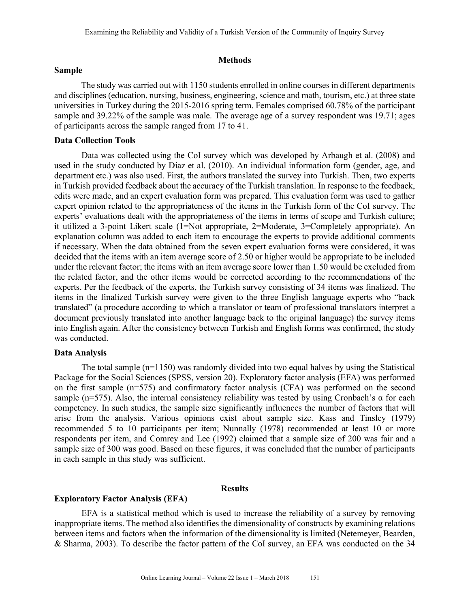#### **Methods**

#### **Sample**

The study was carried out with 1150 students enrolled in online courses in different departments and disciplines (education, nursing, business, engineering, science and math, tourism, etc.) at three state universities in Turkey during the 2015-2016 spring term. Females comprised 60.78% of the participant sample and 39.22% of the sample was male. The average age of a survey respondent was 19.71; ages of participants across the sample ranged from 17 to 41.

## **Data Collection Tools**

Data was collected using the CoI survey which was developed by Arbaugh et al. (2008) and used in the study conducted by Díaz et al. (2010). An individual information form (gender, age, and department etc.) was also used. First, the authors translated the survey into Turkish. Then, two experts in Turkish provided feedback about the accuracy of the Turkish translation. In response to the feedback, edits were made, and an expert evaluation form was prepared. This evaluation form was used to gather expert opinion related to the appropriateness of the items in the Turkish form of the CoI survey. The experts' evaluations dealt with the appropriateness of the items in terms of scope and Turkish culture; it utilized a 3-point Likert scale (1=Not appropriate, 2=Moderate, 3=Completely appropriate). An explanation column was added to each item to encourage the experts to provide additional comments if necessary. When the data obtained from the seven expert evaluation forms were considered, it was decided that the items with an item average score of 2.50 or higher would be appropriate to be included under the relevant factor; the items with an item average score lower than 1.50 would be excluded from the related factor, and the other items would be corrected according to the recommendations of the experts. Per the feedback of the experts, the Turkish survey consisting of 34 items was finalized. The items in the finalized Turkish survey were given to the three English language experts who "back translated" (a procedure according to which a translator or team of professional translators interpret a document previously translated into another language back to the original language) the survey items into English again. After the consistency between Turkish and English forms was confirmed, the study was conducted.

#### **Data Analysis**

The total sample (n=1150) was randomly divided into two equal halves by using the Statistical Package for the Social Sciences (SPSS, version 20). Exploratory factor analysis (EFA) was performed on the first sample (n=575) and confirmatory factor analysis (CFA) was performed on the second sample ( $n=575$ ). Also, the internal consistency reliability was tested by using Cronbach's  $\alpha$  for each competency. In such studies, the sample size significantly influences the number of factors that will arise from the analysis. Various opinions exist about sample size. Kass and Tinsley (1979) recommended 5 to 10 participants per item; Nunnally (1978) recommended at least 10 or more respondents per item, and Comrey and Lee (1992) claimed that a sample size of 200 was fair and a sample size of 300 was good. Based on these figures, it was concluded that the number of participants in each sample in this study was sufficient.

#### **Results**

#### **Exploratory Factor Analysis (EFA)**

EFA is a statistical method which is used to increase the reliability of a survey by removing inappropriate items. The method also identifies the dimensionality of constructs by examining relations between items and factors when the information of the dimensionality is limited (Netemeyer, Bearden, & Sharma, 2003). To describe the factor pattern of the CoI survey, an EFA was conducted on the 34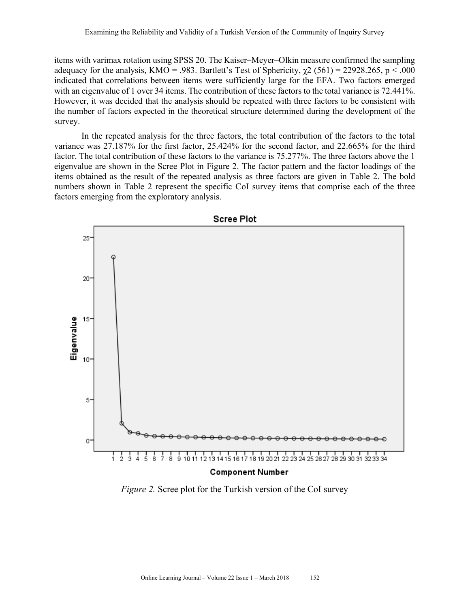items with varimax rotation using SPSS 20. The Kaiser–Meyer–Olkin measure confirmed the sampling adequacy for the analysis, KMO = .983. Bartlett's Test of Sphericity,  $\chi$ 2 (561) = 22928.265, p < .000 indicated that correlations between items were sufficiently large for the EFA. Two factors emerged with an eigenvalue of 1 over 34 items. The contribution of these factors to the total variance is 72.441%. However, it was decided that the analysis should be repeated with three factors to be consistent with the number of factors expected in the theoretical structure determined during the development of the survey.

In the repeated analysis for the three factors, the total contribution of the factors to the total variance was 27.187% for the first factor, 25.424% for the second factor, and 22.665% for the third factor. The total contribution of these factors to the variance is 75.277%. The three factors above the 1 eigenvalue are shown in the Scree Plot in Figure 2. The factor pattern and the factor loadings of the items obtained as the result of the repeated analysis as three factors are given in Table 2. The bold numbers shown in Table 2 represent the specific CoI survey items that comprise each of the three factors emerging from the exploratory analysis.



*Figure 2.* Scree plot for the Turkish version of the CoI survey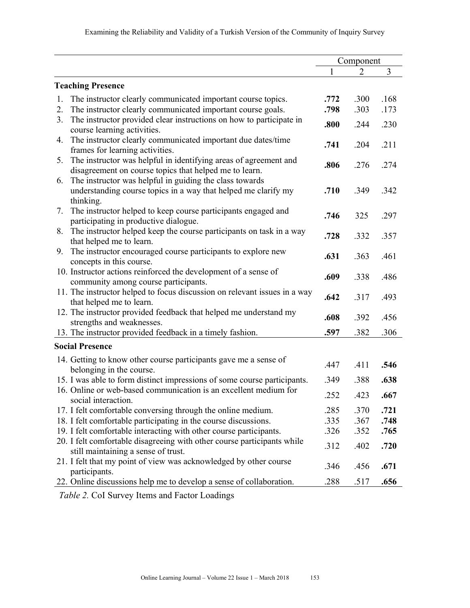|    |                                                                                                                                        | Component |      |      |
|----|----------------------------------------------------------------------------------------------------------------------------------------|-----------|------|------|
|    |                                                                                                                                        | 1         | 2    | 3    |
|    | <b>Teaching Presence</b>                                                                                                               |           |      |      |
| 1. | The instructor clearly communicated important course topics.                                                                           | .772      | .300 | .168 |
| 2. | The instructor clearly communicated important course goals.                                                                            | .798      | .303 | .173 |
| 3. | The instructor provided clear instructions on how to participate in<br>course learning activities.                                     | .800      | .244 | .230 |
| 4. | The instructor clearly communicated important due dates/time<br>frames for learning activities.                                        | .741      | .204 | .211 |
| 5. | The instructor was helpful in identifying areas of agreement and<br>disagreement on course topics that helped me to learn.             | .806      | .276 | .274 |
| 6. | The instructor was helpful in guiding the class towards<br>understanding course topics in a way that helped me clarify my<br>thinking. | .710      | .349 | .342 |
| 7. | The instructor helped to keep course participants engaged and<br>participating in productive dialogue.                                 | .746      | 325  | .297 |
| 8. | The instructor helped keep the course participants on task in a way<br>that helped me to learn.                                        | .728      | .332 | .357 |
| 9. | The instructor encouraged course participants to explore new<br>concepts in this course.                                               | .631      | .363 | .461 |
|    | 10. Instructor actions reinforced the development of a sense of<br>community among course participants.                                | .609      | .338 | .486 |
|    | 11. The instructor helped to focus discussion on relevant issues in a way<br>that helped me to learn.                                  | .642      | .317 | .493 |
|    | 12. The instructor provided feedback that helped me understand my<br>strengths and weaknesses.                                         | .608      | .392 | .456 |
|    | 13. The instructor provided feedback in a timely fashion.                                                                              | .597      | .382 | .306 |
|    | <b>Social Presence</b>                                                                                                                 |           |      |      |
|    | 14. Getting to know other course participants gave me a sense of<br>belonging in the course.                                           | .447      | .411 | .546 |
|    | 15. I was able to form distinct impressions of some course participants.                                                               | .349      | .388 | .638 |
|    | 16. Online or web-based communication is an excellent medium for<br>social interaction.                                                | .252      | .423 | .667 |
|    | 17. I felt comfortable conversing through the online medium.                                                                           | .285      | .370 | .721 |
|    | 18. I felt comfortable participating in the course discussions.                                                                        | .335      | .367 | .748 |
|    | 19. I felt comfortable interacting with other course participants.                                                                     | .326      | .352 | .765 |
|    | 20. I felt comfortable disagreeing with other course participants while<br>still maintaining a sense of trust.                         | .312      | .402 | .720 |
|    | 21. I felt that my point of view was acknowledged by other course<br>participants.                                                     | .346      | .456 | .671 |
|    | 22. Online discussions help me to develop a sense of collaboration.                                                                    | .288      | .517 | .656 |

 *Table 2.* CoI Survey Items and Factor Loadings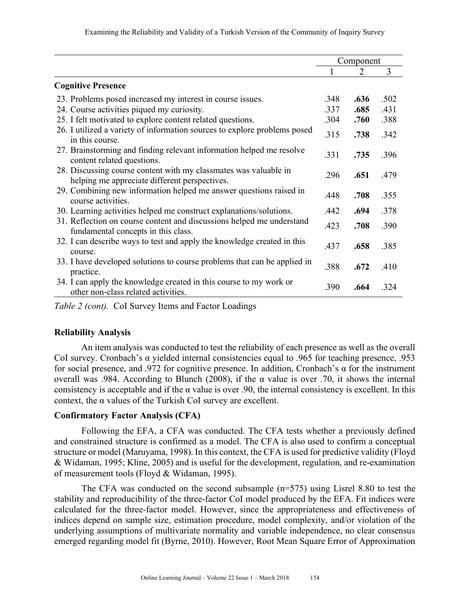|                                                                                                                   | Component |                             |      |
|-------------------------------------------------------------------------------------------------------------------|-----------|-----------------------------|------|
|                                                                                                                   |           | $\mathcal{D}_{\mathcal{L}}$ | 3    |
| <b>Cognitive Presence</b>                                                                                         |           |                             |      |
| 23. Problems posed increased my interest in course issues.                                                        | .348      | .636                        | .502 |
| 24. Course activities piqued my curiosity.                                                                        | .337      | .685                        | .431 |
| 25. I felt motivated to explore content related questions.                                                        | .304      | .760                        | .388 |
| 26. I utilized a variety of information sources to explore problems posed<br>in this course.                      | .315      | .738                        | .342 |
| 27. Brainstorming and finding relevant information helped me resolve<br>content related questions.                | .331      | .735                        | -396 |
| 28. Discussing course content with my classmates was valuable in<br>helping me appreciate different perspectives. | .296      | .651                        | .479 |
| 29. Combining new information helped me answer questions raised in<br>course activities.                          | .448      | .708                        | .355 |
| 30. Learning activities helped me construct explanations/solutions.                                               | .442      | .694                        | .378 |
| 31. Reflection on course content and discussions helped me understand<br>fundamental concepts in this class.      | .423      | .708                        | .390 |
| 32. I can describe ways to test and apply the knowledge created in this<br>course.                                | .437      | .658                        | .385 |
| 33. I have developed solutions to course problems that can be applied in<br>practice.                             | .388      | .672                        | .410 |
| 34. I can apply the knowledge created in this course to my work or<br>other non-class related activities.         | .390      | .664                        | .324 |

*Table 2 (cont).* CoI Survey Items and Factor Loadings

# **Reliability Analysis**

An item analysis was conducted to test the reliability of each presence as well as the overall CoI survey. Cronbach's α yielded internal consistencies equal to .965 for teaching presence, .953 for social presence, and .972 for cognitive presence. In addition, Cronbach's α for the instrument overall was .984. According to Blunch (2008), if the  $\alpha$  value is over .70, it shows the internal consistency is acceptable and if the  $\alpha$  value is over .90, the internal consistency is excellent. In this context, the α values of the Turkish CoI survey are excellent.

# **Confirmatory Factor Analysis (CFA)**

Following the EFA, a CFA was conducted. The CFA tests whether a previously defined and constrained structure is confirmed as a model. The CFA is also used to confirm a conceptual structure or model (Maruyama, 1998). In this context, the CFA is used for predictive validity (Floyd & Widaman, 1995; Kline, 2005) and is useful for the development, regulation, and re-examination of measurement tools (Floyd & Widaman, 1995).

The CFA was conducted on the second subsample (n=575) using Lisrel 8.80 to test the stability and reproducibility of the three-factor CoI model produced by the EFA. Fit indices were calculated for the three-factor model. However, since the appropriateness and effectiveness of indices depend on sample size, estimation procedure, model complexity, and/or violation of the underlying assumptions of multivariate normality and variable independence, no clear consensus emerged regarding model fit (Byrne, 2010). However, Root Mean Square Error of Approximation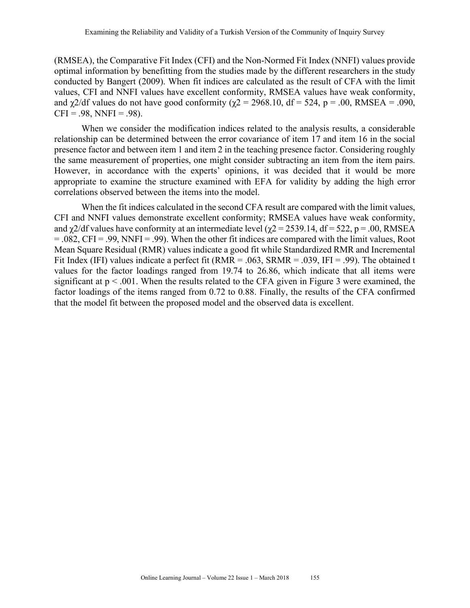(RMSEA), the Comparative Fit Index (CFI) and the Non-Normed Fit Index (NNFI) values provide optimal information by benefitting from the studies made by the different researchers in the study conducted by Bangert (2009). When fit indices are calculated as the result of CFA with the limit values, CFI and NNFI values have excellent conformity, RMSEA values have weak conformity, and  $\chi$ 2/df values do not have good conformity ( $\chi$ 2 = 2968.10, df = 524, p = .00, RMSEA = .090,  $CFI = .98$ ,  $NNFI = .98$ ).

When we consider the modification indices related to the analysis results, a considerable relationship can be determined between the error covariance of item 17 and item 16 in the social presence factor and between item 1 and item 2 in the teaching presence factor. Considering roughly the same measurement of properties, one might consider subtracting an item from the item pairs. However, in accordance with the experts' opinions, it was decided that it would be more appropriate to examine the structure examined with EFA for validity by adding the high error correlations observed between the items into the model.

When the fit indices calculated in the second CFA result are compared with the limit values, CFI and NNFI values demonstrate excellent conformity; RMSEA values have weak conformity, and  $\chi$ 2/df values have conformity at an intermediate level ( $\chi$ 2 = 2539.14, df = 522, p = .00, RMSEA  $= .082$ , CFI = .99, NNFI = .99). When the other fit indices are compared with the limit values, Root Mean Square Residual (RMR) values indicate a good fit while Standardized RMR and Incremental Fit Index (IFI) values indicate a perfect fit (RMR = .063, SRMR = .039, IFI = .99). The obtained t values for the factor loadings ranged from 19.74 to 26.86, which indicate that all items were significant at  $p < .001$ . When the results related to the CFA given in Figure 3 were examined, the factor loadings of the items ranged from 0.72 to 0.88. Finally, the results of the CFA confirmed that the model fit between the proposed model and the observed data is excellent.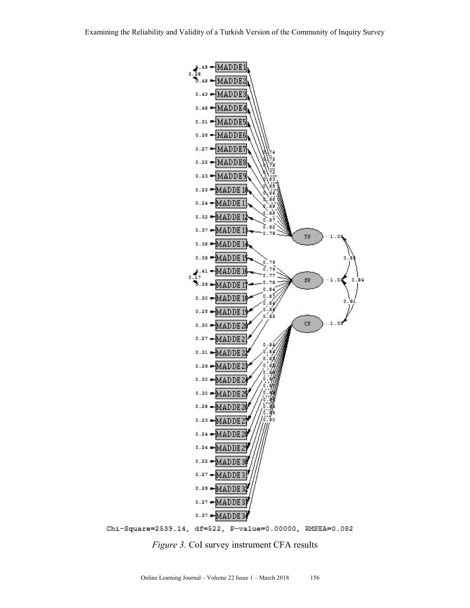

Chi-Square=2539.14, df=522, P-value=0.00000, RMSEA=0.082

*Figure 3.* CoI survey instrument CFA results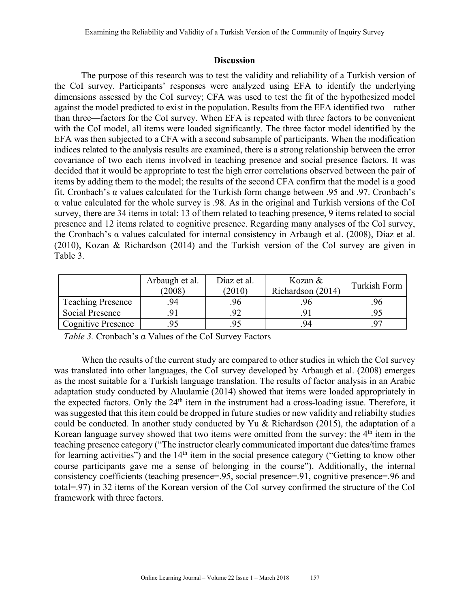## **Discussion**

The purpose of this research was to test the validity and reliability of a Turkish version of the CoI survey. Participants' responses were analyzed using EFA to identify the underlying dimensions assessed by the CoI survey; CFA was used to test the fit of the hypothesized model against the model predicted to exist in the population. Results from the EFA identified two—rather than three—factors for the CoI survey. When EFA is repeated with three factors to be convenient with the CoI model, all items were loaded significantly. The three factor model identified by the EFA was then subjected to a CFA with a second subsample of participants. When the modification indices related to the analysis results are examined, there is a strong relationship between the error covariance of two each items involved in teaching presence and social presence factors. It was decided that it would be appropriate to test the high error correlations observed between the pair of items by adding them to the model; the results of the second CFA confirm that the model is a good fit. Cronbach's α values calculated for the Turkish form change between .95 and .97. Cronbach's α value calculated for the whole survey is .98. As in the original and Turkish versions of the CoI survey, there are 34 items in total: 13 of them related to teaching presence, 9 items related to social presence and 12 items related to cognitive presence. Regarding many analyses of the CoI survey, the Cronbach's α values calculated for internal consistency in Arbaugh et al. (2008), Díaz et al. (2010), Kozan & Richardson (2014) and the Turkish version of the CoI survey are given in Table 3.

|                          | Arbaugh et al.<br>(2008) | Díaz et al.<br>(2010) | Kozan &<br>Richardson (2014) | Turkish Form |
|--------------------------|--------------------------|-----------------------|------------------------------|--------------|
| <b>Teaching Presence</b> | 94                       | 96                    |                              |              |
| Social Presence          |                          |                       |                              |              |
| Cognitive Presence       |                          |                       | 94                           |              |

 *Table 3.* Cronbach's α Values of the CoI Survey Factors

When the results of the current study are compared to other studies in which the CoI survey was translated into other languages, the CoI survey developed by Arbaugh et al. (2008) emerges as the most suitable for a Turkish language translation. The results of factor analysis in an Arabic adaptation study conducted by Alaulamie (2014) showed that items were loaded appropriately in the expected factors. Only the 24<sup>th</sup> item in the instrument had a cross-loading issue. Therefore, it wassuggested that this item could be dropped in future studies or new validity and reliabilty studies could be conducted. In another study conducted by Yu & Richardson (2015), the adaptation of a Korean language survey showed that two items were omitted from the survey: the  $4<sup>th</sup>$  item in the teaching presence category ("The instructor clearly communicated important due dates/time frames for learning activities") and the  $14<sup>th</sup>$  item in the social presence category ("Getting to know other course participants gave me a sense of belonging in the course"). Additionally, the internal consistency coefficients (teaching presence=.95, social presence=.91, cognitive presence=.96 and total=.97) in 32 items of the Korean version of the CoI survey confirmed the structure of the CoI framework with three factors.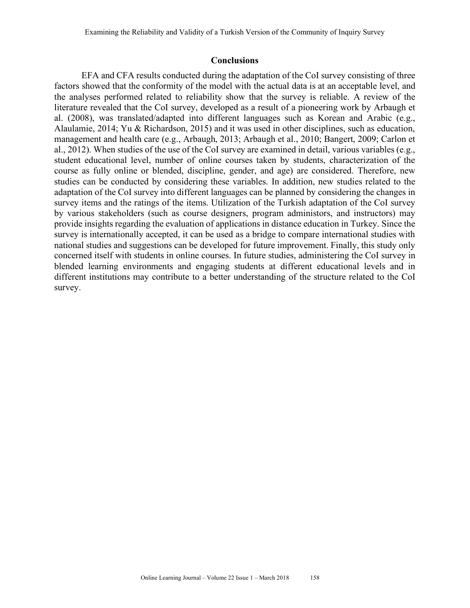# **Conclusions**

EFA and CFA results conducted during the adaptation of the CoI survey consisting of three factors showed that the conformity of the model with the actual data is at an acceptable level, and the analyses performed related to reliability show that the survey is reliable. A review of the literature revealed that the CoI survey, developed as a result of a pioneering work by Arbaugh et al. (2008), was translated/adapted into different languages such as Korean and Arabic (e.g., Alaulamie, 2014; Yu & Richardson, 2015) and it was used in other disciplines, such as education, management and health care (e.g., Arbaugh, 2013; Arbaugh et al., 2010; Bangert, 2009; Carlon et al., 2012). When studies of the use of the CoI survey are examined in detail, various variables (e.g., student educational level, number of online courses taken by students, characterization of the course as fully online or blended, discipline, gender, and age) are considered. Therefore, new studies can be conducted by considering these variables. In addition, new studies related to the adaptation of the CoI survey into different languages can be planned by considering the changes in survey items and the ratings of the items. Utilization of the Turkish adaptation of the CoI survey by various stakeholders (such as course designers, program administors, and instructors) may provide insights regarding the evaluation of applications in distance education in Turkey. Since the survey is internationally accepted, it can be used as a bridge to compare international studies with national studies and suggestions can be developed for future improvement. Finally, this study only concerned itself with students in online courses. In future studies, administering the CoI survey in blended learning environments and engaging students at different educational levels and in different institutions may contribute to a better understanding of the structure related to the CoI survey.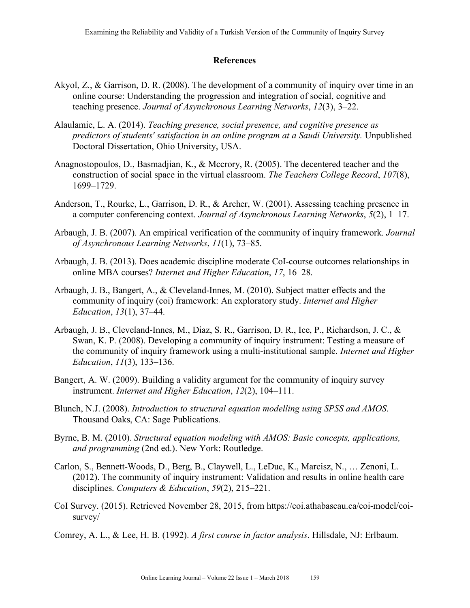# **References**

- Akyol, Z., & Garrison, D. R. (2008). The development of a community of inquiry over time in an online course: Understanding the progression and integration of social, cognitive and teaching presence. *Journal of Asynchronous Learning Networks*, *12*(3), 3–22.
- Alaulamie, L. A. (2014). *Teaching presence, social presence, and cognitive presence as predictors of students' satisfaction in an online program at a Saudi University.* Unpublished Doctoral Dissertation, Ohio University, USA.
- Anagnostopoulos, D., Basmadjian, K., & Mccrory, R. (2005). The decentered teacher and the construction of social space in the virtual classroom. *The Teachers College Record*, *107*(8), 1699–1729.
- Anderson, T., Rourke, L., Garrison, D. R., & Archer, W. (2001). Assessing teaching presence in a computer conferencing context. *Journal of Asynchronous Learning Networks*, *5*(2), 1–17.
- Arbaugh, J. B. (2007). An empirical verification of the community of inquiry framework. *Journal of Asynchronous Learning Networks*, *11*(1), 73–85.
- Arbaugh, J. B. (2013). Does academic discipline moderate CoI-course outcomes relationships in online MBA courses? *Internet and Higher Education*, *17*, 16–28.
- Arbaugh, J. B., Bangert, A., & Cleveland-Innes, M. (2010). Subject matter effects and the community of inquiry (coi) framework: An exploratory study. *Internet and Higher Education*, *13*(1), 37–44.
- Arbaugh, J. B., Cleveland-Innes, M., Diaz, S. R., Garrison, D. R., Ice, P., Richardson, J. C., & Swan, K. P. (2008). Developing a community of inquiry instrument: Testing a measure of the community of inquiry framework using a multi-institutional sample. *Internet and Higher Education*, *11*(3), 133–136.
- Bangert, A. W. (2009). Building a validity argument for the community of inquiry survey instrument. *Internet and Higher Education*, *12*(2), 104–111.
- Blunch, N.J. (2008). *Introduction to structural equation modelling using SPSS and AMOS*. Thousand Oaks, CA: Sage Publications.
- Byrne, B. M. (2010). *Structural equation modeling with AMOS: Basic concepts, applications, and programming* (2nd ed.). New York: Routledge.
- Carlon, S., Bennett-Woods, D., Berg, B., Claywell, L., LeDuc, K., Marcisz, N., … Zenoni, L. (2012). The community of inquiry instrument: Validation and results in online health care disciplines. *Computers & Education*, *59*(2), 215–221.
- CoI Survey. (2015). Retrieved November 28, 2015, from https://coi.athabascau.ca/coi-model/coisurvey/
- Comrey, A. L., & Lee, H. B. (1992). *A first course in factor analysis*. Hillsdale, NJ: Erlbaum.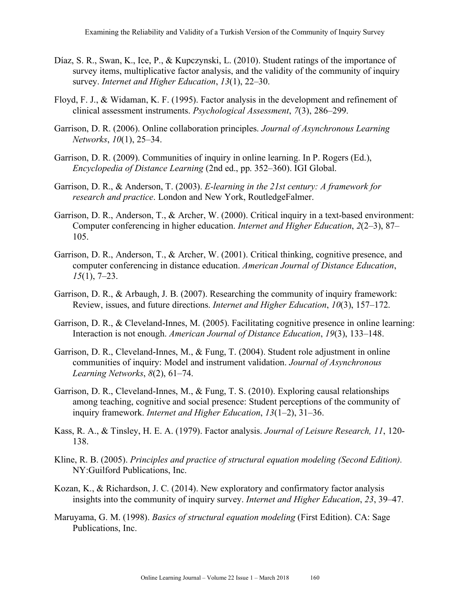- Díaz, S. R., Swan, K., Ice, P., & Kupczynski, L. (2010). Student ratings of the importance of survey items, multiplicative factor analysis, and the validity of the community of inquiry survey. *Internet and Higher Education*, *13*(1), 22–30.
- Floyd, F. J., & Widaman, K. F. (1995). Factor analysis in the development and refinement of clinical assessment instruments. *Psychological Assessment*, *7*(3), 286–299.
- Garrison, D. R. (2006). Online collaboration principles. *Journal of Asynchronous Learning Networks*, *10*(1), 25–34.
- Garrison, D. R. (2009). Communities of inquiry in online learning. In P. Rogers (Ed.), *Encyclopedia of Distance Learning* (2nd ed., pp. 352–360). IGI Global.
- Garrison, D. R., & Anderson, T. (2003). *E-learning in the 21st century: A framework for research and practice*. London and New York, RoutledgeFalmer.
- Garrison, D. R., Anderson, T., & Archer, W. (2000). Critical inquiry in a text-based environment: Computer conferencing in higher education. *Internet and Higher Education*, *2*(2–3), 87– 105.
- Garrison, D. R., Anderson, T., & Archer, W. (2001). Critical thinking, cognitive presence, and computer conferencing in distance education. *American Journal of Distance Education*, *15*(1), 7–23.
- Garrison, D. R., & Arbaugh, J. B. (2007). Researching the community of inquiry framework: Review, issues, and future directions. *Internet and Higher Education*, *10*(3), 157–172.
- Garrison, D. R., & Cleveland-Innes, M. (2005). Facilitating cognitive presence in online learning: Interaction is not enough. *American Journal of Distance Education*, *19*(3), 133–148.
- Garrison, D. R., Cleveland-Innes, M., & Fung, T. (2004). Student role adjustment in online communities of inquiry: Model and instrument validation. *Journal of Asynchronous Learning Networks*, *8*(2), 61–74.
- Garrison, D. R., Cleveland-Innes, M., & Fung, T. S. (2010). Exploring causal relationships among teaching, cognitive and social presence: Student perceptions of the community of inquiry framework. *Internet and Higher Education*, *13*(1–2), 31–36.
- Kass, R. A., & Tinsley, H. E. A. (1979). Factor analysis. *Journal of Leisure Research, 11*, 120- 138.
- Kline, R. B. (2005). *Principles and practice of structural equation modeling (Second Edition).* NY:Guilford Publications, Inc.
- Kozan, K., & Richardson, J. C. (2014). New exploratory and confirmatory factor analysis insights into the community of inquiry survey. *Internet and Higher Education*, *23*, 39–47.
- Maruyama, G. M. (1998). *Basics of structural equation modeling* (First Edition). CA: Sage Publications, Inc.